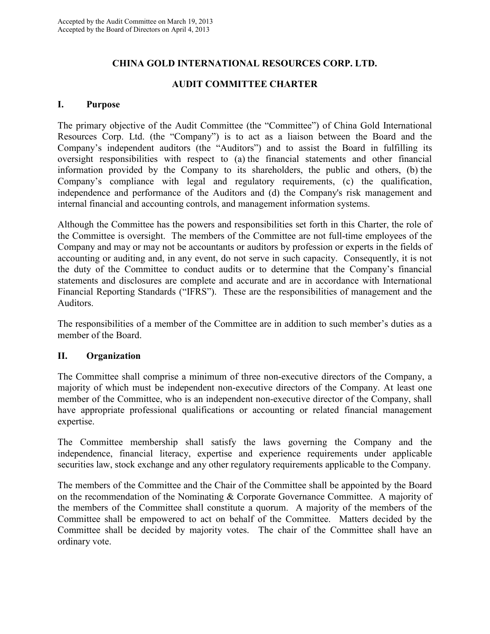# **CHINA GOLD INTERNATIONAL RESOURCES CORP. LTD.**

# **AUDIT COMMITTEE CHARTER**

## **I. Purpose**

The primary objective of the Audit Committee (the "Committee") of China Gold International Resources Corp. Ltd. (the "Company") is to act as a liaison between the Board and the Company's independent auditors (the "Auditors") and to assist the Board in fulfilling its oversight responsibilities with respect to (a) the financial statements and other financial information provided by the Company to its shareholders, the public and others, (b) the Company's compliance with legal and regulatory requirements, (c) the qualification, independence and performance of the Auditors and (d) the Company's risk management and internal financial and accounting controls, and management information systems.

Although the Committee has the powers and responsibilities set forth in this Charter, the role of the Committee is oversight. The members of the Committee are not full-time employees of the Company and may or may not be accountants or auditors by profession or experts in the fields of accounting or auditing and, in any event, do not serve in such capacity. Consequently, it is not the duty of the Committee to conduct audits or to determine that the Company's financial statements and disclosures are complete and accurate and are in accordance with International Financial Reporting Standards ("IFRS"). These are the responsibilities of management and the Auditors.

The responsibilities of a member of the Committee are in addition to such member's duties as a member of the Board.

## **II. Organization**

The Committee shall comprise a minimum of three non-executive directors of the Company, a majority of which must be independent non-executive directors of the Company. At least one member of the Committee, who is an independent non-executive director of the Company, shall have appropriate professional qualifications or accounting or related financial management expertise.

The Committee membership shall satisfy the laws governing the Company and the independence, financial literacy, expertise and experience requirements under applicable securities law, stock exchange and any other regulatory requirements applicable to the Company.

The members of the Committee and the Chair of the Committee shall be appointed by the Board on the recommendation of the Nominating & Corporate Governance Committee. A majority of the members of the Committee shall constitute a quorum. A majority of the members of the Committee shall be empowered to act on behalf of the Committee. Matters decided by the Committee shall be decided by majority votes. The chair of the Committee shall have an ordinary vote.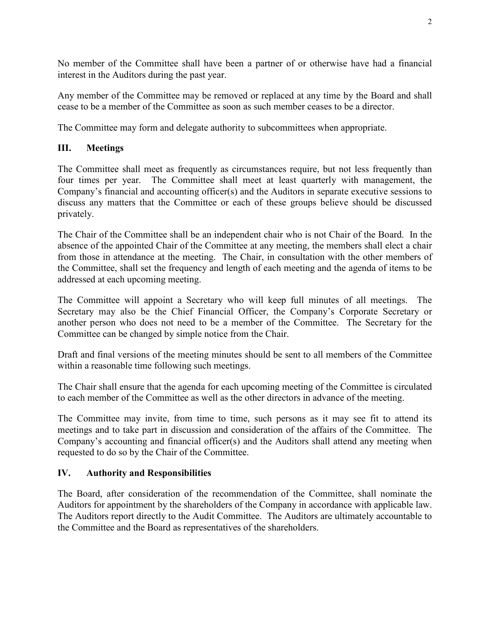No member of the Committee shall have been a partner of or otherwise have had a financial interest in the Auditors during the past year.

Any member of the Committee may be removed or replaced at any time by the Board and shall cease to be a member of the Committee as soon as such member ceases to be a director.

The Committee may form and delegate authority to subcommittees when appropriate.

# **III. Meetings**

The Committee shall meet as frequently as circumstances require, but not less frequently than four times per year. The Committee shall meet at least quarterly with management, the Company's financial and accounting officer(s) and the Auditors in separate executive sessions to discuss any matters that the Committee or each of these groups believe should be discussed privately.

The Chair of the Committee shall be an independent chair who is not Chair of the Board. In the absence of the appointed Chair of the Committee at any meeting, the members shall elect a chair from those in attendance at the meeting. The Chair, in consultation with the other members of the Committee, shall set the frequency and length of each meeting and the agenda of items to be addressed at each upcoming meeting.

The Committee will appoint a Secretary who will keep full minutes of all meetings. The Secretary may also be the Chief Financial Officer, the Company's Corporate Secretary or another person who does not need to be a member of the Committee. The Secretary for the Committee can be changed by simple notice from the Chair.

Draft and final versions of the meeting minutes should be sent to all members of the Committee within a reasonable time following such meetings.

The Chair shall ensure that the agenda for each upcoming meeting of the Committee is circulated to each member of the Committee as well as the other directors in advance of the meeting.

The Committee may invite, from time to time, such persons as it may see fit to attend its meetings and to take part in discussion and consideration of the affairs of the Committee. The Company's accounting and financial officer(s) and the Auditors shall attend any meeting when requested to do so by the Chair of the Committee.

## **IV. Authority and Responsibilities**

The Board, after consideration of the recommendation of the Committee, shall nominate the Auditors for appointment by the shareholders of the Company in accordance with applicable law. The Auditors report directly to the Audit Committee. The Auditors are ultimately accountable to the Committee and the Board as representatives of the shareholders.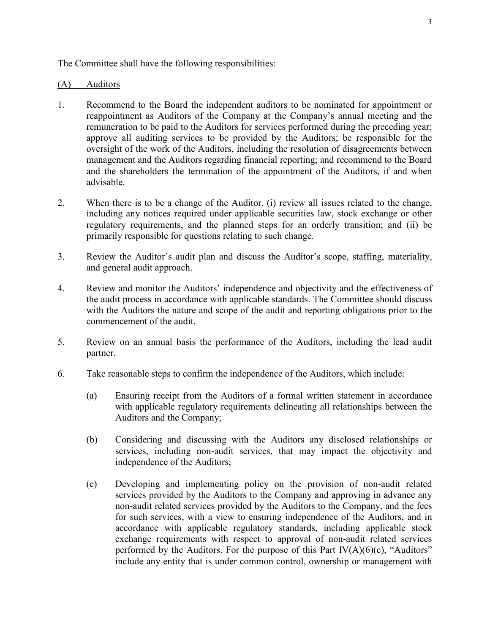The Committee shall have the following responsibilities:

#### (A) Auditors

- 1. Recommend to the Board the independent auditors to be nominated for appointment or reappointment as Auditors of the Company at the Company's annual meeting and the remuneration to be paid to the Auditors for services performed during the preceding year; approve all auditing services to be provided by the Auditors; be responsible for the oversight of the work of the Auditors, including the resolution of disagreements between management and the Auditors regarding financial reporting; and recommend to the Board and the shareholders the termination of the appointment of the Auditors, if and when advisable.
- 2. When there is to be a change of the Auditor, (i) review all issues related to the change, including any notices required under applicable securities law, stock exchange or other regulatory requirements, and the planned steps for an orderly transition; and (ii) be primarily responsible for questions relating to such change.
- 3. Review the Auditor's audit plan and discuss the Auditor's scope, staffing, materiality, and general audit approach.
- 4. Review and monitor the Auditors' independence and objectivity and the effectiveness of the audit process in accordance with applicable standards. The Committee should discuss with the Auditors the nature and scope of the audit and reporting obligations prior to the commencement of the audit.
- 5. Review on an annual basis the performance of the Auditors, including the lead audit partner.
- 6. Take reasonable steps to confirm the independence of the Auditors, which include:
	- (a) Ensuring receipt from the Auditors of a formal written statement in accordance with applicable regulatory requirements delineating all relationships between the Auditors and the Company;
	- (b) Considering and discussing with the Auditors any disclosed relationships or services, including non-audit services, that may impact the objectivity and independence of the Auditors;
	- (c) Developing and implementing policy on the provision of non-audit related services provided by the Auditors to the Company and approving in advance any non-audit related services provided by the Auditors to the Company, and the fees for such services, with a view to ensuring independence of the Auditors, and in accordance with applicable regulatory standards, including applicable stock exchange requirements with respect to approval of non-audit related services performed by the Auditors. For the purpose of this Part  $IV(A)(6)(c)$ , "Auditors" include any entity that is under common control, ownership or management with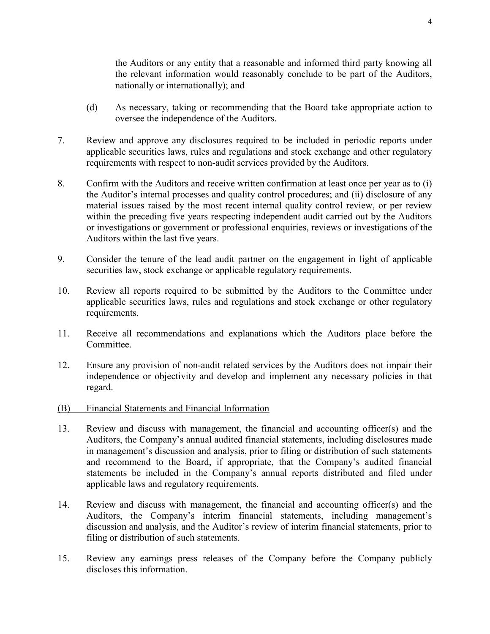the Auditors or any entity that a reasonable and informed third party knowing all the relevant information would reasonably conclude to be part of the Auditors, nationally or internationally); and

- (d) As necessary, taking or recommending that the Board take appropriate action to oversee the independence of the Auditors.
- 7. Review and approve any disclosures required to be included in periodic reports under applicable securities laws, rules and regulations and stock exchange and other regulatory requirements with respect to non-audit services provided by the Auditors.
- 8. Confirm with the Auditors and receive written confirmation at least once per year as to (i) the Auditor's internal processes and quality control procedures; and (ii) disclosure of any material issues raised by the most recent internal quality control review, or per review within the preceding five years respecting independent audit carried out by the Auditors or investigations or government or professional enquiries, reviews or investigations of the Auditors within the last five years.
- 9. Consider the tenure of the lead audit partner on the engagement in light of applicable securities law, stock exchange or applicable regulatory requirements.
- 10. Review all reports required to be submitted by the Auditors to the Committee under applicable securities laws, rules and regulations and stock exchange or other regulatory requirements.
- 11. Receive all recommendations and explanations which the Auditors place before the Committee.
- 12. Ensure any provision of non-audit related services by the Auditors does not impair their independence or objectivity and develop and implement any necessary policies in that regard.
- (B) Financial Statements and Financial Information
- 13. Review and discuss with management, the financial and accounting officer(s) and the Auditors, the Company's annual audited financial statements, including disclosures made in management's discussion and analysis, prior to filing or distribution of such statements and recommend to the Board, if appropriate, that the Company's audited financial statements be included in the Company's annual reports distributed and filed under applicable laws and regulatory requirements.
- 14. Review and discuss with management, the financial and accounting officer(s) and the Auditors, the Company's interim financial statements, including management's discussion and analysis, and the Auditor's review of interim financial statements, prior to filing or distribution of such statements.
- 15. Review any earnings press releases of the Company before the Company publicly discloses this information.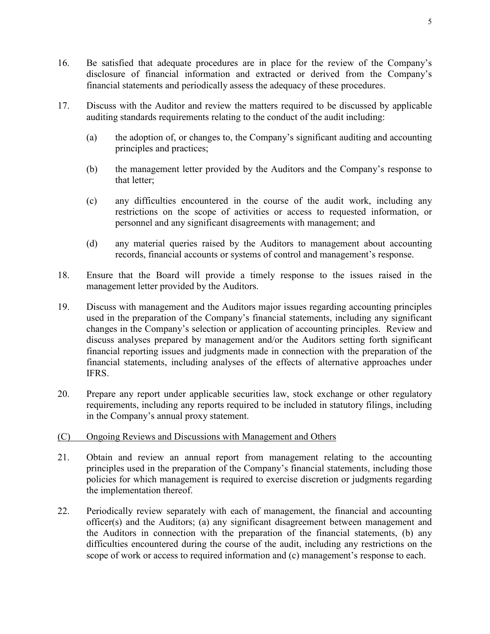- 16. Be satisfied that adequate procedures are in place for the review of the Company's disclosure of financial information and extracted or derived from the Company's financial statements and periodically assess the adequacy of these procedures.
- 17. Discuss with the Auditor and review the matters required to be discussed by applicable auditing standards requirements relating to the conduct of the audit including:
	- (a) the adoption of, or changes to, the Company's significant auditing and accounting principles and practices;
	- (b) the management letter provided by the Auditors and the Company's response to that letter;
	- (c) any difficulties encountered in the course of the audit work, including any restrictions on the scope of activities or access to requested information, or personnel and any significant disagreements with management; and
	- (d) any material queries raised by the Auditors to management about accounting records, financial accounts or systems of control and management's response.
- 18. Ensure that the Board will provide a timely response to the issues raised in the management letter provided by the Auditors.
- 19. Discuss with management and the Auditors major issues regarding accounting principles used in the preparation of the Company's financial statements, including any significant changes in the Company's selection or application of accounting principles. Review and discuss analyses prepared by management and/or the Auditors setting forth significant financial reporting issues and judgments made in connection with the preparation of the financial statements, including analyses of the effects of alternative approaches under IFRS.
- 20. Prepare any report under applicable securities law, stock exchange or other regulatory requirements, including any reports required to be included in statutory filings, including in the Company's annual proxy statement.
- (C) Ongoing Reviews and Discussions with Management and Others
- 21. Obtain and review an annual report from management relating to the accounting principles used in the preparation of the Company's financial statements, including those policies for which management is required to exercise discretion or judgments regarding the implementation thereof.
- 22. Periodically review separately with each of management, the financial and accounting officer(s) and the Auditors; (a) any significant disagreement between management and the Auditors in connection with the preparation of the financial statements, (b) any difficulties encountered during the course of the audit, including any restrictions on the scope of work or access to required information and (c) management's response to each.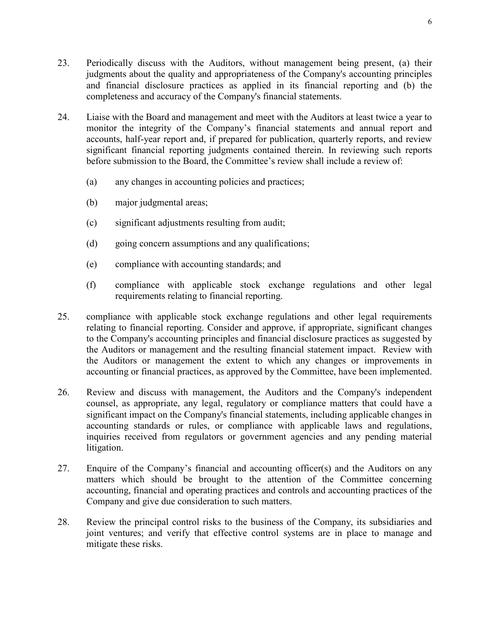- 23. Periodically discuss with the Auditors, without management being present, (a) their judgments about the quality and appropriateness of the Company's accounting principles and financial disclosure practices as applied in its financial reporting and (b) the completeness and accuracy of the Company's financial statements.
- 24. Liaise with the Board and management and meet with the Auditors at least twice a year to monitor the integrity of the Company's financial statements and annual report and accounts, half-year report and, if prepared for publication, quarterly reports, and review significant financial reporting judgments contained therein. In reviewing such reports before submission to the Board, the Committee's review shall include a review of:
	- (a) any changes in accounting policies and practices;
	- (b) major judgmental areas;
	- (c) significant adjustments resulting from audit;
	- (d) going concern assumptions and any qualifications;
	- (e) compliance with accounting standards; and
	- (f) compliance with applicable stock exchange regulations and other legal requirements relating to financial reporting.
- 25. compliance with applicable stock exchange regulations and other legal requirements relating to financial reporting. Consider and approve, if appropriate, significant changes to the Company's accounting principles and financial disclosure practices as suggested by the Auditors or management and the resulting financial statement impact. Review with the Auditors or management the extent to which any changes or improvements in accounting or financial practices, as approved by the Committee, have been implemented.
- 26. Review and discuss with management, the Auditors and the Company's independent counsel, as appropriate, any legal, regulatory or compliance matters that could have a significant impact on the Company's financial statements, including applicable changes in accounting standards or rules, or compliance with applicable laws and regulations, inquiries received from regulators or government agencies and any pending material litigation.
- 27. Enquire of the Company's financial and accounting officer(s) and the Auditors on any matters which should be brought to the attention of the Committee concerning accounting, financial and operating practices and controls and accounting practices of the Company and give due consideration to such matters.
- 28. Review the principal control risks to the business of the Company, its subsidiaries and joint ventures; and verify that effective control systems are in place to manage and mitigate these risks.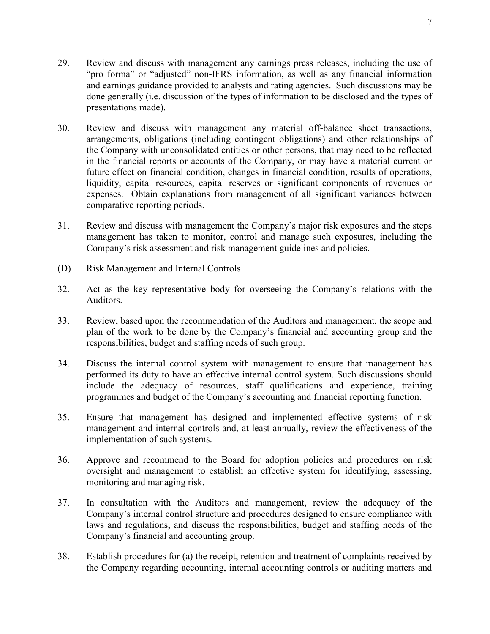- 29. Review and discuss with management any earnings press releases, including the use of "pro forma" or "adjusted" non-IFRS information, as well as any financial information and earnings guidance provided to analysts and rating agencies. Such discussions may be done generally (i.e. discussion of the types of information to be disclosed and the types of presentations made).
- 30. Review and discuss with management any material off-balance sheet transactions, arrangements, obligations (including contingent obligations) and other relationships of the Company with unconsolidated entities or other persons, that may need to be reflected in the financial reports or accounts of the Company, or may have a material current or future effect on financial condition, changes in financial condition, results of operations, liquidity, capital resources, capital reserves or significant components of revenues or expenses. Obtain explanations from management of all significant variances between comparative reporting periods.
- 31. Review and discuss with management the Company's major risk exposures and the steps management has taken to monitor, control and manage such exposures, including the Company's risk assessment and risk management guidelines and policies.
- (D) Risk Management and Internal Controls
- 32. Act as the key representative body for overseeing the Company's relations with the Auditors.
- 33. Review, based upon the recommendation of the Auditors and management, the scope and plan of the work to be done by the Company's financial and accounting group and the responsibilities, budget and staffing needs of such group.
- 34. Discuss the internal control system with management to ensure that management has performed its duty to have an effective internal control system. Such discussions should include the adequacy of resources, staff qualifications and experience, training programmes and budget of the Company's accounting and financial reporting function.
- 35. Ensure that management has designed and implemented effective systems of risk management and internal controls and, at least annually, review the effectiveness of the implementation of such systems.
- 36. Approve and recommend to the Board for adoption policies and procedures on risk oversight and management to establish an effective system for identifying, assessing, monitoring and managing risk.
- 37. In consultation with the Auditors and management, review the adequacy of the Company's internal control structure and procedures designed to ensure compliance with laws and regulations, and discuss the responsibilities, budget and staffing needs of the Company's financial and accounting group.
- 38. Establish procedures for (a) the receipt, retention and treatment of complaints received by the Company regarding accounting, internal accounting controls or auditing matters and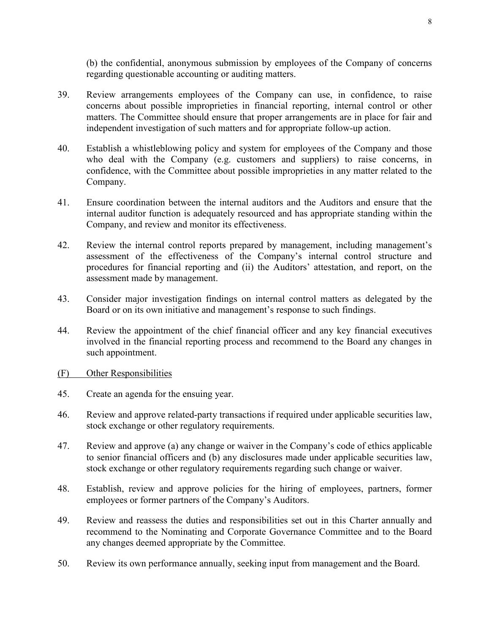(b) the confidential, anonymous submission by employees of the Company of concerns regarding questionable accounting or auditing matters.

- 39. Review arrangements employees of the Company can use, in confidence, to raise concerns about possible improprieties in financial reporting, internal control or other matters. The Committee should ensure that proper arrangements are in place for fair and independent investigation of such matters and for appropriate follow-up action.
- 40. Establish a whistleblowing policy and system for employees of the Company and those who deal with the Company (e.g. customers and suppliers) to raise concerns, in confidence, with the Committee about possible improprieties in any matter related to the Company.
- 41. Ensure coordination between the internal auditors and the Auditors and ensure that the internal auditor function is adequately resourced and has appropriate standing within the Company, and review and monitor its effectiveness.
- 42. Review the internal control reports prepared by management, including management's assessment of the effectiveness of the Company's internal control structure and procedures for financial reporting and (ii) the Auditors' attestation, and report, on the assessment made by management.
- 43. Consider major investigation findings on internal control matters as delegated by the Board or on its own initiative and management's response to such findings.
- 44. Review the appointment of the chief financial officer and any key financial executives involved in the financial reporting process and recommend to the Board any changes in such appointment.
- (F) Other Responsibilities
- 45. Create an agenda for the ensuing year.
- 46. Review and approve related-party transactions if required under applicable securities law, stock exchange or other regulatory requirements.
- 47. Review and approve (a) any change or waiver in the Company's code of ethics applicable to senior financial officers and (b) any disclosures made under applicable securities law, stock exchange or other regulatory requirements regarding such change or waiver.
- 48. Establish, review and approve policies for the hiring of employees, partners, former employees or former partners of the Company's Auditors.
- 49. Review and reassess the duties and responsibilities set out in this Charter annually and recommend to the Nominating and Corporate Governance Committee and to the Board any changes deemed appropriate by the Committee.
- 50. Review its own performance annually, seeking input from management and the Board.